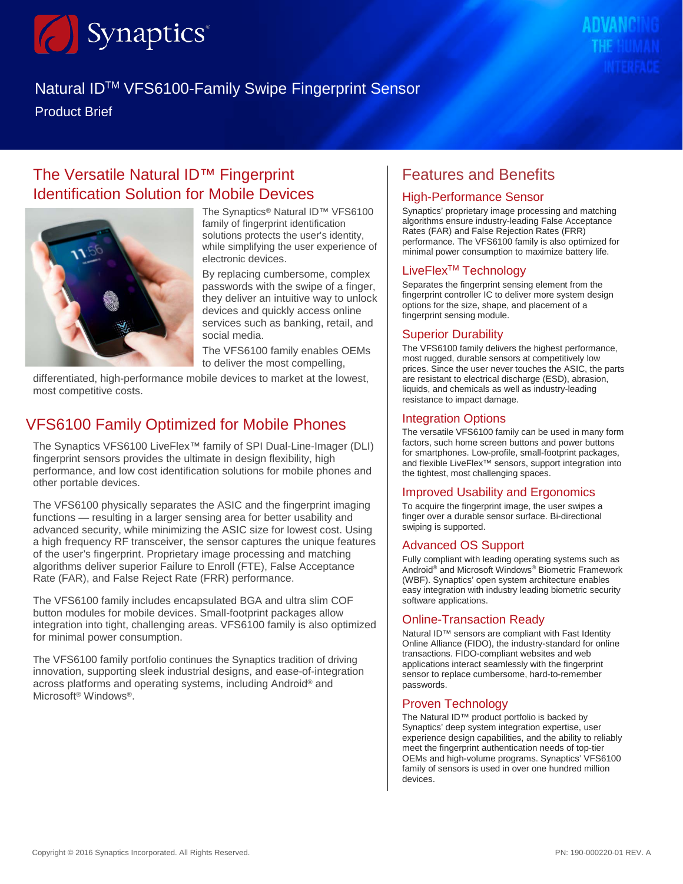

# Natural ID<sup>™</sup> VFS6100-Family Swipe Fingerprint Sensor Product Brief

# The Versatile Natural ID™ Fingerprint Identification Solution for Mobile Devices



The Synaptics® Natural ID™ VFS6100 family of fingerprint identification solutions protects the user's identity, while simplifying the user experience of electronic devices.

By replacing cumbersome, complex passwords with the swipe of a finger, they deliver an intuitive way to unlock devices and quickly access online services such as banking, retail, and social media.

The VFS6100 family enables OEMs to deliver the most compelling,

differentiated, high-performance mobile devices to market at the lowest, most competitive costs.

## VFS6100 Family Optimized for Mobile Phones

The Synaptics VFS6100 LiveFlex™ family of SPI Dual-Line-Imager (DLI) fingerprint sensors provides the ultimate in design flexibility, high performance, and low cost identification solutions for mobile phones and other portable devices.

The VFS6100 physically separates the ASIC and the fingerprint imaging functions — resulting in a larger sensing area for better usability and advanced security, while minimizing the ASIC size for lowest cost. Using a high frequency RF transceiver, the sensor captures the unique features of the user's fingerprint. Proprietary image processing and matching algorithms deliver superior Failure to Enroll (FTE), False Acceptance Rate (FAR), and False Reject Rate (FRR) performance.

The VFS6100 family includes encapsulated BGA and ultra slim COF button modules for mobile devices. Small-footprint packages allow integration into tight, challenging areas. VFS6100 family is also optimized for minimal power consumption.

The VFS6100 family portfolio continues the Synaptics tradition of driving innovation, supporting sleek industrial designs, and ease-of-integration across platforms and operating systems, including Android® and Microsoft® Windows®.

# Features and Benefits

## High-Performance Sensor

Synaptics' proprietary image processing and matching algorithms ensure industry-leading False Acceptance Rates (FAR) and False Rejection Rates (FRR) performance. The VFS6100 family is also optimized for minimal power consumption to maximize battery life.

## LiveFlex<sup>™</sup> Technology

Separates the fingerprint sensing element from the fingerprint controller IC to deliver more system design options for the size, shape, and placement of a fingerprint sensing module.

#### Superior Durability

The VFS6100 family delivers the highest performance, most rugged, durable sensors at competitively low prices. Since the user never touches the ASIC, the parts are resistant to electrical discharge (ESD), abrasion, liquids, and chemicals as well as industry-leading resistance to impact damage.

## Integration Options

The versatile VFS6100 family can be used in many form factors, such home screen buttons and power buttons for smartphones. Low-profile, small-footprint packages, and flexible LiveFlex<sup>™</sup> sensors, support integration into the tightest, most challenging spaces.

## Improved Usability and Ergonomics

To acquire the fingerprint image, the user swipes a finger over a durable sensor surface. Bi-directional swiping is supported.

#### Advanced OS Support

Fully compliant with leading operating systems such as Android® and Microsoft Windows® Biometric Framework (WBF). Synaptics' open system architecture enables easy integration with industry leading biometric security software applications.

#### Online-Transaction Ready

Natural ID™ sensors are compliant with Fast Identity Online Alliance (FIDO), the industry-standard for online transactions. FIDO-compliant websites and web applications interact seamlessly with the fingerprint sensor to replace cumbersome, hard-to-remember passwords.

#### Proven Technology

The Natural ID™ product portfolio is backed by Synaptics' deep system integration expertise, user experience design capabilities, and the ability to reliably meet the fingerprint authentication needs of top-tier OEMs and high-volume programs. Synaptics' VFS6100 family of sensors is used in over one hundred million devices.